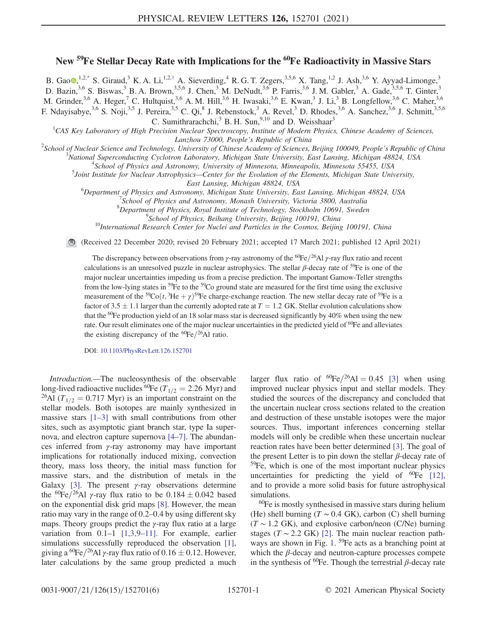## New <sup>59</sup>Fe Stellar Decay Rate with Implications for the <sup>60</sup>Fe Radioactivity in Massive Stars

<span id="page-0-0"></span>B. Gao $\Phi$ ,<sup>1,2[,\\*](#page-4-0)</sup> S. Giraud,<sup>3</sup> K. A. Li,<sup>1,2,[†](#page-4-1)</sup> A. Sieverding,<sup>4</sup> R. G. T. Zegers,<sup>3,5,6</sup> X. Tang,<sup>1,2</sup> J. Ash,<sup>3,6</sup> Y. Ayyad-Limonge,<sup>3</sup> D. Bazin,<sup>3,6</sup> S. Biswas,<sup>3</sup> B. A. Brown,<sup>3,5,6</sup> J. Chen,<sup>3</sup> M. DeNudt,<sup>3,6</sup> P. Farris,<sup>3,6</sup> J. M. Gabler,<sup>3</sup> A. Gade,<sup>3,5,6</sup> T. Ginter,<sup>3</sup> M. Grinder,  $3.6$  A. Heger,  $7$  C. Hultquist,  $3.6$  A. M. Hill,  $3.6$  H. Iwasaki,  $3.6$  E. Kwan,  $3$  J. Li,  $3$  B. Longfellow,  $3.6$  C. Maher,  $3.6$ F. Ndayisabye,<sup>3,6</sup> S. Noji,<sup>3,5</sup> J. Pereira,<sup>3,5</sup> C. Qi,<sup>8</sup> J. Rebenstock,<sup>3</sup> A. Revel,<sup>3</sup> D. Rhodes,<sup>3,6</sup> A. Sanchez,<sup>3,6</sup> J. Schmitt,<sup>3,5,6</sup> C. Sumithrarachchi, $3$  B. H. Sun, $9,10$  and D. Weisshaar<sup>3</sup>

 ${}^{1}$ CAS Key Laboratory of High Precision Nuclear Spectroscopy, Institute of Modern Physics, Chinese Academy of Sciences, Lanzhou 73000, People's Republic of China<br><sup>2</sup>Sebool of Nuclear Science and Technology, University of Chinase Agadamy of Sciences

School of Nuclear Science and Technology, University of Chinese Academy of Sciences, Beijing 100049, People's Republic of China<br><sup>3</sup>National Superconducting Cyclotron Laboratory, Michigan State University, East Lansing, Mic

<sup>3</sup>National Superconducting Cyclotron Laboratory, Michigan State University, East Lansing, Michigan 48824, USA

<sup>4</sup>School of Physics and Astronomy, University of Minnesota, Minneapolis, Minnesota 55455, USA

 $<sup>5</sup>$  Joint Institute for Nuclear Astrophysics—Center for the Evolution of the Elements, Michigan State University,</sup>

East Lansing, Michigan 48824, USA<br><sup>6</sup>Department of Physics and Astronomy Michigan State University, Ea Department of Physics and Astronomy, Michigan State University, East Lansing, Michigan 48824, USA<br><sup>7</sup>School of Physics and Astronomy, Monash University, Victoria 3800, Australia

School of Physics and Astronomy, Monash University, Victoria 3800, Australia

<sup>8</sup>Department of Physics, Royal Institute of Technology, Stockholm 10691, Sweden <sup>9</sup>School of Physics, Baikano University, Baijing 100101, China

<sup>9</sup>School of Physics, Beihang University, Beijing 100191, China<br><sup>10</sup>International Research Center for Nuclei and Particles in the Cosmos, Beijing 100191, China

(Received 22 December 2020; revised 20 February 2021; accepted 17 March 2021; published 12 April 2021)

The discrepancy between observations from  $\gamma$ -ray astronomy of the <sup>60</sup>Fe/<sup>26</sup>Al  $\gamma$ -ray flux ratio and recent calculations is an unresolved puzzle in nuclear astrophysics. The stellar  $\beta$ -decay rate of <sup>59</sup>Fe is one of the major nuclear uncertainties impeding us from a precise prediction. The important Gamow-Teller strengths from the low-lying states in <sup>59</sup>Fe to the <sup>59</sup>Co ground state are measured for the first time using the exclusive measurement of the <sup>59</sup>Co(*t*, <sup>3</sup>He +  $\gamma$ )<sup>59</sup>Fe charge-exchange reaction. The new stellar decay rate of <sup>59</sup>Fe is a factor of  $3.5 \pm 1.1$  larger than the currently adopted rate at  $T = 1.2$  GK. Stellar evolution calculations show that the  $^{60}$ Fe production yield of an 18 solar mass star is decreased significantly by 40% when using the new rate. Our result eliminates one of the major nuclear uncertainties in the predicted yield of <sup>60</sup>Fe and alleviates the existing discrepancy of the  ${}^{60}Fe/{}^{26}Al$  ratio.

DOI: [10.1103/PhysRevLett.126.152701](https://doi.org/10.1103/PhysRevLett.126.152701)

Introduction.—The nucleosynthesis of the observable long-lived radioactive nuclides <sup>60</sup>Fe ( $T_{1/2}=2.26$  Myr) and <sup>26</sup>Al ( $T_{1/2} = 0.717$  Myr) is an important constraint on the stellar models. Both isotopes are mainly synthesized in massive stars [1–[3\]](#page-4-2) with small contributions from other sites, such as asymptotic giant branch star, type Ia supernova, and electron capture supernova [4–[7\].](#page-4-3) The abundances inferred from γ-ray astronomy may have important implications for rotationally induced mixing, convection theory, mass loss theory, the initial mass function for massive stars, and the distribution of metals in the Galaxy [\[3\].](#page-4-4) The present  $\gamma$ -ray observations determine the <sup>60</sup>Fe/<sup>26</sup>Al  $\gamma$ -ray flux ratio to be 0.184  $\pm$  0.042 based on the exponential disk grid maps [\[8\]](#page-4-5). However, the mean ratio may vary in the range of 0.2–0.4 by using different sky maps. Theory groups predict the  $\gamma$ -ray flux ratio at a large variation from 0.1-1 [\[1,3,9](#page-4-2)-11]. For example, earlier simulations successfully reproduced the observation [\[1\]](#page-4-2), giving a <sup>60</sup>Fe/<sup>26</sup>Al  $\gamma$ -ray flux ratio of 0.16  $\pm$  0.12. However, later calculations by the same group predicted a much larger flux ratio of  ${}^{60}Fe/{}^{26}Al = 0.45$  [\[3\]](#page-4-4) when using improved nuclear physics input and stellar models. They studied the sources of the discrepancy and concluded that the uncertain nuclear cross sections related to the creation and destruction of these unstable isotopes were the major sources. Thus, important inferences concerning stellar models will only be credible when these uncertain nuclear reaction rates have been better determined [\[3\]](#page-4-4). The goal of the present Letter is to pin down the stellar  $\beta$ -decay rate of  $59$ Fe, which is one of the most important nuclear physics uncertainties for predicting the yield of  ${}^{60}Fe$  [\[12\]](#page-5-0), and to provide a more solid basis for future astrophysical simulations.

<sup>60</sup>Fe is mostly synthesised in massive stars during helium (He) shell burning ( $T \sim 0.4$  GK), carbon (C) shell burning  $(T \sim 1.2 \text{ GK})$ , and explosive carbon/neon (C/Ne) burning stages ( $T \sim 2.2$  GK) [\[2\].](#page-4-6) The main nuclear reaction path-ways are shown in Fig. [1](#page-1-0). <sup>59</sup>Fe acts as a branching point at which the  $\beta$ -decay and neutron-capture processes compete in the synthesis of  ${}^{60}$ Fe. Though the terrestrial  $\beta$ -decay rate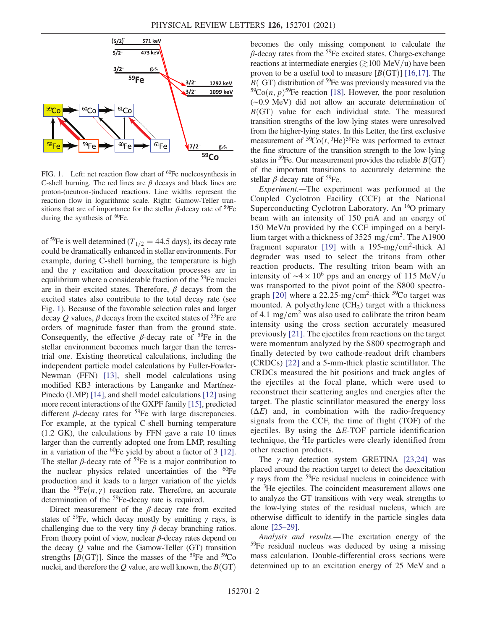<span id="page-1-0"></span>

FIG. 1. Left: net reaction flow chart of <sup>60</sup>Fe nucleosynthesis in C-shell burning. The red lines are  $\beta$  decays and black lines are proton-(neutron-)induced reactions. Line widths represent the reaction flow in logarithmic scale. Right: Gamow-Teller transitions that are of importance for the stellar  $\beta$ -decay rate of <sup>59</sup>Fe during the synthesis of <sup>60</sup>Fe.

of <sup>59</sup>Fe is well determined ( $T_{1/2}=44.5$  days), its decay rate could be dramatically enhanced in stellar environments. For example, during C-shell burning, the temperature is high and the  $\gamma$  excitation and deexcitation processes are in equilibrium where a considerable fraction of the <sup>59</sup>Fe nuclei are in their excited states. Therefore,  $\beta$  decays from the excited states also contribute to the total decay rate (see Fig. [1\)](#page-1-0). Because of the favorable selection rules and larger decay Q values,  $\beta$  decays from the excited states of <sup>59</sup>Fe are orders of magnitude faster than from the ground state. Consequently, the effective  $\beta$ -decay rate of <sup>59</sup>Fe in the stellar environment becomes much larger than the terrestrial one. Existing theoretical calculations, including the independent particle model calculations by Fuller-Fowler-Newman (FFN) [\[13\]](#page-5-1), shell model calculations using modified KB3 interactions by Langanke and Martínez-Pinedo (LMP) [\[14\],](#page-5-2) and shell model calculations [\[12\]](#page-5-0) using more recent interactions of the GXPF family [\[15\],](#page-5-3) predicted different  $\beta$ -decay rates for <sup>59</sup>Fe with large discrepancies. For example, at the typical C-shell burning temperature (1.2 GK), the calculations by FFN gave a rate 10 times larger than the currently adopted one from LMP, resulting in a variation of the  ${}^{60}Fe$  yield by about a factor of 3 [\[12\]](#page-5-0). The stellar  $\beta$ -decay rate of <sup>59</sup>Fe is a major contribution to the nuclear physics related uncertainties of the  ${}^{60}Fe$ production and it leads to a larger variation of the yields than the  ${}^{59}Fe(n, \gamma)$  reaction rate. Therefore, an accurate determination of the <sup>59</sup>Fe-decay rate is required.

Direct measurement of the  $\beta$ -decay rate from excited states of <sup>59</sup>Fe, which decay mostly by emitting  $\gamma$  rays, is challenging due to the very tiny  $\beta$ -decay branching ratios. From theory point of view, nuclear  $\beta$ -decay rates depend on the decay  $Q$  value and the Gamow-Teller (GT) transition strengths  $[B(GT)]$ . Since the masses of the <sup>59</sup>Fe and <sup>59</sup>Co nuclei, and therefore the Q value, are well known, the  $B(GT)$  becomes the only missing component to calculate the  $\beta$ -decay rates from the <sup>59</sup>Fe excited states. Charge-exchange reactions at intermediate energies ( $\gtrsim$ 100 MeV/u) have been proven to be a useful tool to measure  $[B(GT)]$  [\[16,17\].](#page-5-4) The  $B(\text{GT})$  distribution of <sup>59</sup>Fe was previously measured via the  $59\text{Co}(n, p)$ <sup>59</sup>Fe reaction [\[18\]](#page-5-5). However, the poor resolution (∼0.9 MeV) did not allow an accurate determination of  $B(GT)$  value for each individual state. The measured transition strengths of the low-lying states were unresolved from the higher-lying states. In this Letter, the first exclusive measurement of  ${}^{59}Co(t, {}^{3}He) {}^{59}Fe$  was performed to extract the fine structure of the transition strength to the low-lying states in <sup>59</sup>Fe. Our measurement provides the reliable  $B(GT)$ of the important transitions to accurately determine the stellar  $\beta$ -decay rate of <sup>59</sup>Fe.

Experiment.—The experiment was performed at the Coupled Cyclotron Facility (CCF) at the National Superconducting Cyclotron Laboratory. An <sup>16</sup>O primary beam with an intensity of 150 pnA and an energy of 150 MeV/u provided by the CCF impinged on a beryllium target with a thickness of  $3525 \text{ mg/cm}^2$ . The A1900 fragment separator [\[19\]](#page-5-6) with a 195-mg/cm<sup>2</sup>-thick Al degrader was used to select the tritons from other reaction products. The resulting triton beam with an intensity of  $\sim$ 4 × 10<sup>6</sup> pps and an energy of 115 MeV/u was transported to the pivot point of the S800 spectro-graph [\[20\]](#page-5-7) where a 22.25-mg/cm<sup>2</sup>-thick  $5\degree$ Co target was mounted. A polyethylene  $(CH<sub>2</sub>)$  target with a thickness of 4.1 mg/cm<sup>2</sup> was also used to calibrate the triton beam intensity using the cross section accurately measured previously [\[21\]](#page-5-8). The ejectiles from reactions on the target were momentum analyzed by the S800 spectrograph and finally detected by two cathode-readout drift chambers (CRDCs) [\[22\]](#page-5-9) and a 5-mm-thick plastic scintillator. The CRDCs measured the hit positions and track angles of the ejectiles at the focal plane, which were used to reconstruct their scattering angles and energies after the target. The plastic scintillator measured the energy loss  $(\Delta E)$  and, in combination with the radio-frequency signals from the CCF, the time of flight (TOF) of the ejectiles. By using the  $\Delta E$ -TOF particle identification technique, the <sup>3</sup>He particles were clearly identified from other reaction products.

The  $\gamma$ -ray detection system GRETINA [\[23,24\]](#page-5-10) was placed around the reaction target to detect the deexcitation  $\gamma$  rays from the <sup>59</sup>Fe residual nucleus in coincidence with the <sup>3</sup>He ejectiles. The coincident measurement allows one to analyze the GT transitions with very weak strengths to the low-lying states of the residual nucleus, which are otherwise difficult to identify in the particle singles data alone [\[25](#page-5-11)–29].

Analysis and results.—The excitation energy of the <sup>59</sup>Fe residual nucleus was deduced by using a missing mass calculation. Double-differential cross sections were determined up to an excitation energy of 25 MeV and a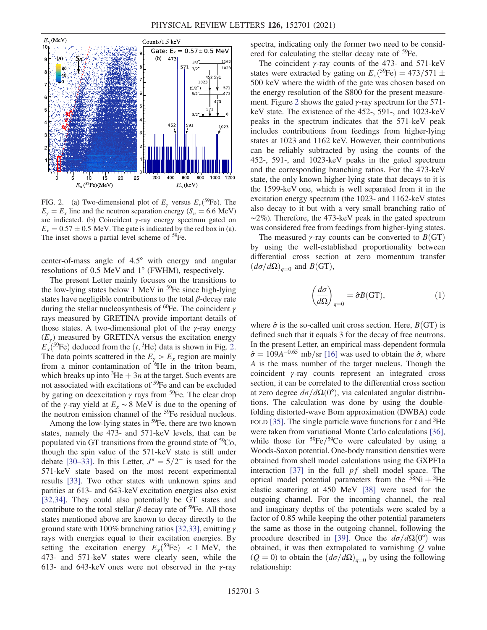<span id="page-2-0"></span>

FIG. 2. (a) Two-dimensional plot of  $E_\gamma$  versus  $E_x^{59}$ Fe). The  $E<sub>y</sub> = E<sub>x</sub>$  line and the neutron separation energy (S<sub>n</sub> = 6.6 MeV) are indicated. (b) Coincident  $\gamma$ -ray energy spectrum gated on  $E_x = 0.57 \pm 0.5$  MeV. The gate is indicated by the red box in (a). The inset shows a partial level scheme of <sup>59</sup>Fe.

center-of-mass angle of 4.5° with energy and angular resolutions of 0.5 MeV and 1° (FWHM), respectively.

The present Letter mainly focuses on the transitions to the low-lying states below 1 MeV in  $59Fe$  since high-lying states have negligible contributions to the total  $\beta$ -decay rate during the stellar nucleosynthesis of  ${}^{60}Fe$ . The coincident  $\gamma$ rays measured by GRETINA provide important details of those states. A two-dimensional plot of the  $\gamma$ -ray energy  $(E<sub>y</sub>)$  measured by GRETINA versus the excitation energy  $E_x$ <sup>(59</sup>Fe) deduced from the  $(t, {}^{3}\text{He})$  data is shown in Fig. [2](#page-2-0). The data points scattered in the  $E_{\gamma} > E_{x}$  region are mainly from a minor contamination of <sup>6</sup>He in the triton beam, which breaks up into  ${}^{3}\text{He} + 3n$  at the target. Such events are not associated with excitations of <sup>59</sup>Fe and can be excluded by gating on deexcitation  $\gamma$  rays from <sup>59</sup>Fe. The clear drop of the γ-ray yield at  $E_x \sim 8$  MeV is due to the opening of the neutron emission channel of the <sup>59</sup>Fe residual nucleus.

Among the low-lying states in  $59Fe$ , there are two known states, namely the 473- and 571-keV levels, that can be populated via GT transitions from the ground state of  ${}^{59}Co$ , though the spin value of the 571-keV state is still under debate [\[30](#page-5-12)–33]. In this Letter,  $J^{\pi} = 5/2^-$  is used for the 571-keV state based on the most recent experimental results [\[33\]](#page-5-13). Two other states with unknown spins and parities at 613- and 643-keV excitation energies also exist [\[32,34\]](#page-5-14). They could also potentially be GT states and contribute to the total stellar  $\beta$ -decay rate of <sup>59</sup>Fe. All those states mentioned above are known to decay directly to the ground state with 100% branching ratios [\[32,33\],](#page-5-14) emitting  $\gamma$ rays with energies equal to their excitation energies. By setting the excitation energy  $E_x^{59}Fe$  < 1 MeV, the 473- and 571-keV states were clearly seen, while the 613- and 643-keV ones were not observed in the  $\gamma$ -ray spectra, indicating only the former two need to be considered for calculating the stellar decay rate of <sup>59</sup>Fe.

The coincident  $\gamma$ -ray counts of the 473- and 571-keV states were extracted by gating on  $E_x$ <sup>(59</sup>Fe) = 473/571  $\pm$ 500 keV where the width of the gate was chosen based on the energy resolution of the S800 for the present measure-ment. Figure [2](#page-2-0) shows the gated  $\gamma$ -ray spectrum for the 571keV state. The existence of the 452-, 591-, and 1023-keV peaks in the spectrum indicates that the 571-keV peak includes contributions from feedings from higher-lying states at 1023 and 1162 keV. However, their contributions can be reliably subtracted by using the counts of the 452-, 591-, and 1023-keV peaks in the gated spectrum and the corresponding branching ratios. For the 473-keV state, the only known higher-lying state that decays to it is the 1599-keV one, which is well separated from it in the excitation energy spectrum (the 1023- and 1162-keV states also decay to it but with a very small branching ratio of ∼2%). Therefore, the 473-keV peak in the gated spectrum was considered free from feedings from higher-lying states.

The measured  $\gamma$ -ray counts can be converted to  $B(GT)$ by using the well-established proportionality between differential cross section at zero momentum transfer  $(d\sigma/d\Omega)_{q=0}$  and  $B(GT)$ ,

$$
\left(\frac{d\sigma}{d\Omega}\right)_{q=0} = \hat{\sigma}B(\text{GT}),\tag{1}
$$

where  $\hat{\sigma}$  is the so-called unit cross section. Here,  $B(\text{GT})$  is defined such that it equals 3 for the decay of free neutrons. In the present Letter, an empirical mass-dependent formula  $\hat{\sigma} = 109A^{-0.65}$  mb/sr [\[16\]](#page-5-4) was used to obtain the  $\hat{\sigma}$ , where A is the mass number of the target nucleus. Though the coincident γ-ray counts represent an integrated cross section, it can be correlated to the differential cross section at zero degree  $d\sigma/d\Omega(0^{\circ})$ , via calculated angular distributions. The calculation was done by using the doublefolding distorted-wave Born approximation (DWBA) code FOLD [\[35\].](#page-5-15) The single particle wave functions for  $t$  and  ${}^{3}$ He were taken from variational Monte Carlo calculations [\[36\]](#page-5-16), while those for  $\frac{59}{6}$ Fe/ $\frac{59}{6}$ Co were calculated by using a Woods-Saxon potential. One-body transition densities were obtained from shell model calculations using the GXPF1a interaction [\[37\]](#page-5-17) in the full  $pf$  shell model space. The optical model potential parameters from the  $58Ni + 3He$ elastic scattering at 450 MeV [\[38\]](#page-5-18) were used for the outgoing channel. For the incoming channel, the real and imaginary depths of the potentials were scaled by a factor of 0.85 while keeping the other potential parameters the same as those in the outgoing channel, following the procedure described in [\[39\]](#page-5-19). Once the  $d\sigma/d\Omega(0^{\circ})$  was obtained, it was then extrapolated to varnishing  $Q$  value  $(Q = 0)$  to obtain the  $(d\sigma/d\Omega)_{q=0}$  by using the following relationship: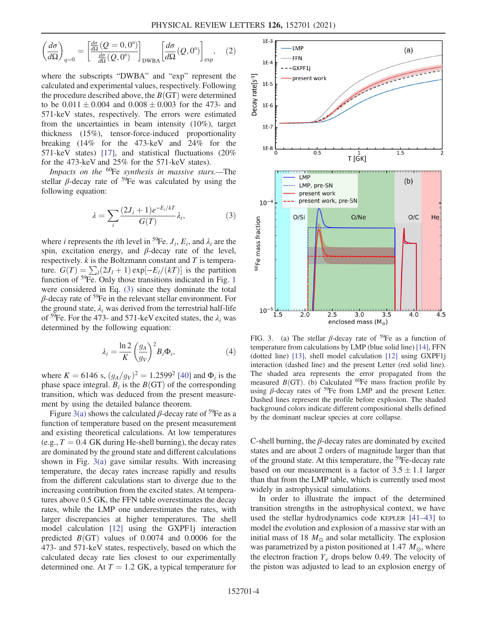$$
\left(\frac{d\sigma}{d\Omega}\right)_{q=0} = \left[\frac{\frac{d\sigma}{d\Omega}(Q=0,0^{\circ})}{\frac{d\sigma}{d\Omega}(Q,0^{\circ})}\right]_{\text{DWBA}} \left[\frac{d\sigma}{d\Omega}(Q,0^{\circ})\right]_{\text{exp}},\quad(2)
$$

where the subscripts "DWBA" and "exp" represent the calculated and experimental values, respectively. Following the procedure described above, the  $B(GT)$  were determined to be  $0.011 \pm 0.004$  and  $0.008 \pm 0.003$  for the 473- and 571-keV states, respectively. The errors were estimated from the uncertainties in beam intensity (10%), target thickness (15%), tensor-force-induced proportionality breaking (14% for the 473-keV and 24% for the 571-keV states) [\[17\]](#page-5-20), and statistical fluctuations (20% for the 473-keV and 25% for the 571-keV states).

<span id="page-3-0"></span>Impacts on the  ${}^{60}$ Fe synthesis in massive stars.—The stellar  $\beta$ -decay rate of <sup>59</sup>Fe was calculated by using the following equation:

$$
\lambda = \sum_{i} \frac{(2J_i + 1)e^{-E_i/kT}}{G(T)} \lambda_i,
$$
\n(3)

where *i* represents the *i*th level in <sup>59</sup>Fe.  $J_i$ ,  $E_i$ , and  $\lambda_i$  are the spin, excitation energy, and  $\beta$ -decay rate of the level, respectively.  $k$  is the Boltzmann constant and  $T$  is temperature.  $G(T) = \sum_l (2J_l + 1) \exp[-E_l/(kT)]$  is the partition function of <sup>59</sup>Fe. Only those transitions indicated in Fig. [1](#page-1-0) were considered in Eq. [\(3\)](#page-3-0) since they dominate the total  $\beta$ -decay rate of <sup>59</sup>Fe in the relevant stellar environment. For the ground state,  $\lambda_i$  was derived from the terrestrial half-life of <sup>59</sup>Fe. For the 473- and 571-keV excited states, the  $\lambda_i$  was determined by the following equation:

$$
\lambda_i = \frac{\ln 2}{K} \left(\frac{g_A}{g_V}\right)^2 B_i \Phi_i, \tag{4}
$$

where  $K = 6146$  s,  $(g_A/g_V)^2 = 1.2599^2$  [\[40\]](#page-5-21) and  $\Phi_i$  is the phase space integral.  $B_i$  is the  $B(GT)$  of the corresponding transition, which was deduced from the present measurement by using the detailed balance theorem.

Figure [3\(a\)](#page-3-1) shows the calculated  $\beta$ -decay rate of <sup>59</sup>Fe as a function of temperature based on the present measurement and existing theoretical calculations. At low temperatures (e.g.,  $T = 0.4$  GK during He-shell burning), the decay rates are dominated by the ground state and different calculations shown in Fig. [3\(a\)](#page-3-1) gave similar results. With increasing temperature, the decay rates increase rapidly and results from the different calculations start to diverge due to the increasing contribution from the excited states. At temperatures above 0.5 GK, the FFN table overestimates the decay rates, while the LMP one underestimates the rates, with larger discrepancies at higher temperatures. The shell model calculation [\[12\]](#page-5-0) using the GXPF1j interaction predicted  $B(GT)$  values of 0.0074 and 0.0006 for the 473- and 571-keV states, respectively, based on which the calculated decay rate lies closest to our experimentally determined one. At  $T = 1.2$  GK, a typical temperature for

<span id="page-3-1"></span>

FIG. 3. (a) The stellar  $\beta$ -decay rate of <sup>59</sup>Fe as a function of temperature from calculations by LMP (blue solid line) [\[14\],](#page-5-2) FFN (dotted line) [\[13\],](#page-5-1) shell model calculation [\[12\]](#page-5-0) using GXPF1j interaction (dashed line) and the present Letter (red solid line). The shaded area represents the error propagated from the measured  $B(GT)$ . (b) Calculated <sup>60</sup>Fe mass fraction profile by using β-decay rates of  $59$ Fe from LMP and the present Letter. Dashed lines represent the profile before explosion. The shaded background colors indicate different compositional shells defined by the dominant nuclear species at core collapse.

C-shell burning, the  $\beta$ -decay rates are dominated by excited states and are about 2 orders of magnitude larger than that of the ground state. At this temperature, the <sup>59</sup>Fe-decay rate based on our measurement is a factor of  $3.5 \pm 1.1$  larger than that from the LMP table, which is currently used most widely in astrophysical simulations.

In order to illustrate the impact of the determined transition strengths in the astrophysical context, we have used the stellar hydrodynamics code KEPLER [\[41](#page-5-22)–43] to model the evolution and explosion of a massive star with an initial mass of 18  $M_{\odot}$  and solar metallicity. The explosion was parametrized by a piston positioned at 1.47  $M_{\odot}$ , where the electron fraction  $Y_e$  drops below 0.49. The velocity of the piston was adjusted to lead to an explosion energy of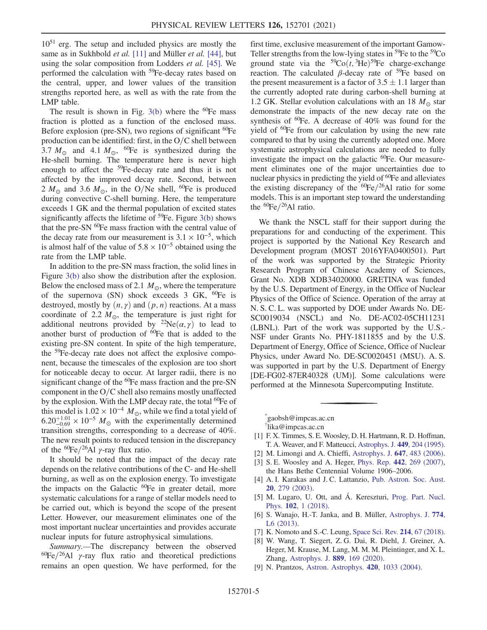1051 erg. The setup and included physics are mostly the same as in Sukhbold *et al.* [\[11\]](#page-5-23) and Müller *et al.* [\[44\]](#page-5-24), but using the solar composition from Lodders *et al.* [\[45\]](#page-5-25). We performed the calculation with <sup>59</sup>Fe-decay rates based on the central, upper, and lower values of the transition strengths reported here, as well as with the rate from the LMP table.

The result is shown in Fig.  $3(b)$  where the <sup>60</sup>Fe mass fraction is plotted as a function of the enclosed mass. Before explosion (pre-SN), two regions of significant  ${}^{60}Fe$ production can be identified: first, in the  $O/C$  shell between 3.7  $M_{\odot}$  and 4.1  $M_{\odot}$ , <sup>60</sup>Fe is synthesized during the He-shell burning. The temperature here is never high enough to affect the  $59Fe$ -decay rate and thus it is not affected by the improved decay rate. Second, between 2  $M_{\odot}$  and 3.6  $M_{\odot}$ , in the O/Ne shell, <sup>60</sup>Fe is produced during convective C-shell burning. Here, the temperature exceeds 1 GK and the thermal population of excited states significantly affects the lifetime of  $59$ Fe. Figure [3\(b\)](#page-3-1) shows that the pre-SN <sup>60</sup>Fe mass fraction with the central value of the decay rate from our measurement is  $3.1 \times 10^{-5}$ , which is almost half of the value of  $5.8 \times 10^{-5}$  obtained using the rate from the LMP table.

In addition to the pre-SN mass fraction, the solid lines in Figure [3\(b\)](#page-3-1) also show the distribution after the explosion. Below the enclosed mass of 2.1  $M_{\odot}$ , where the temperature of the supernova (SN) shock exceeds  $3$  GK, <sup>60</sup>Fe is destroyed, mostly by  $(n, \gamma)$  and  $(p, n)$  reactions. At a mass coordinate of 2.2  $M_{\odot}$ , the temperature is just right for additional neutrons provided by  ${}^{22}Ne(\alpha, \gamma)$  to lead to another burst of production of  ${}^{60}Fe$  that is added to the existing pre-SN content. In spite of the high temperature, the <sup>59</sup>Fe-decay rate does not affect the explosive component, because the timescales of the explosion are too short for noticeable decay to occur. At larger radii, there is no significant change of the  ${}^{60}Fe$  mass fraction and the pre-SN component in the  $O/C$  shell also remains mostly unaffected by the explosion. With the LMP decay rate, the total <sup>60</sup>Fe of this model is  $1.02 \times 10^{-4}$  M<sub>o</sub>, while we find a total yield of  $6.20^{+1.01}_{-0.69} \times 10^{-5}$  M<sub>\oppo</sub> with the experimentally determined transition strengths, corresponding to a decrease of 40%. The new result points to reduced tension in the discrepancy of the  ${}^{60}Fe/{}^{26}Al$   $\gamma$ -ray flux ratio.

It should be noted that the impact of the decay rate depends on the relative contributions of the C- and He-shell burning, as well as on the explosion energy. To investigate the impacts on the Galactic  ${}^{60}Fe$  in greater detail, more systematic calculations for a range of stellar models need to be carried out, which is beyond the scope of the present Letter. However, our measurement eliminates one of the most important nuclear uncertainties and provides accurate nuclear inputs for future astrophysical simulations.

Summary.—The discrepancy between the observed  ${}^{60}Fe/{}^{26}Al$  γ-ray flux ratio and theoretical predictions remains an open question. We have performed, for the

first time, exclusive measurement of the important Gamow-Teller strengths from the low-lying states in  $^{59}Fe$  to the  $^{59}Co$ ground state via the  ${}^{59}Co(t, {}^{3}He){}^{59}Fe$  charge-exchange reaction. The calculated  $\beta$ -decay rate of <sup>59</sup>Fe based on the present measurement is a factor of  $3.5 \pm 1.1$  larger than the currently adopted rate during carbon-shell burning at 1.2 GK. Stellar evolution calculations with an 18  $M_{\odot}$  star demonstrate the impacts of the new decay rate on the synthesis of  ${}^{60}Fe$ . A decrease of  $40\%$  was found for the yield of <sup>60</sup>Fe from our calculation by using the new rate compared to that by using the currently adopted one. More systematic astrophysical calculations are needed to fully investigate the impact on the galactic <sup>60</sup>Fe. Our measurement eliminates one of the major uncertainties due to nuclear physics in predicting the yield of  ${}^{60}Fe$  and alleviates the existing discrepancy of the  ${}^{60}Fe/{}^{26}Al$  ratio for some models. This is an important step toward the understanding the  ${}^{60}Fe/{}^{26}Al$  ratio.

We thank the NSCL staff for their support during the preparations for and conducting of the experiment. This project is supported by the National Key Research and Development program (MOST 2016YFA0400501). Part of the work was supported by the Strategic Priority Research Program of Chinese Academy of Sciences, Grant No. XDB XDB34020000. GRETINA was funded by the U.S. Department of Energy, in the Office of Nuclear Physics of the Office of Science. Operation of the array at N. S. C. L. was supported by DOE under Awards No. DE-SC0019034 (NSCL) and No. DE-AC02-05CH11231 (LBNL). Part of the work was supported by the U.S.- NSF under Grants No. PHY-1811855 and by the U.S. Department of Energy, Office of Science, Office of Nuclear Physics, under Award No. DE-SC0020451 (MSU). A. S. was supported in part by the U.S. Department of Energy [DE-FG02-87ER40328 (UM)]. Some calculations were performed at the Minnesota Supercomputing Institute.

<span id="page-4-1"></span><span id="page-4-0"></span>[\\*](#page-0-0) gaobsh@impcas.ac.cn

[†](#page-0-0) lika@impcas.ac.cn

- <span id="page-4-2"></span>[1] F. X. Timmes, S. E. Woosley, D. H. Hartmann, R. D. Hoffman, T. A. Weaver, and F. Matteucci, [Astrophys. J.](https://doi.org/10.1086/176046) 449, 204 (1995).
- <span id="page-4-6"></span><span id="page-4-4"></span>[2] M. Limongi and A. Chieffi, [Astrophys. J.](https://doi.org/10.1086/505164) **647**, 483 (2006).
- [3] S. E. Woosley and A. Heger, Phys. Rep. 442[, 269 \(2007\),](https://doi.org/10.1016/j.physrep.2007.02.009) the Hans Bethe Centennial Volume 1906–2006.
- <span id="page-4-3"></span>[4] A. I. Karakas and J. C. Lattanzio, [Pub. Astron. Soc. Aust.](https://doi.org/10.1071/AS03010) 20[, 279 \(2003\).](https://doi.org/10.1071/AS03010)
- [5] M. Lugaro, U. Ott, and Á. Kereszturi, [Prog. Part. Nucl.](https://doi.org/10.1016/j.ppnp.2018.05.002) Phys. 102[, 1 \(2018\)](https://doi.org/10.1016/j.ppnp.2018.05.002).
- [6] S. Wanajo, H.-T. Janka, and B. Müller, [Astrophys. J.](https://doi.org/10.1088/2041-8205/774/1/L6) 774, [L6 \(2013\).](https://doi.org/10.1088/2041-8205/774/1/L6)
- <span id="page-4-5"></span>[7] K. Nomoto and S.-C. Leung, [Space Sci. Rev.](https://doi.org/10.1007/s11214-018-0499-0) 214, 67 (2018).
- [8] W. Wang, T. Siegert, Z. G. Dai, R. Diehl, J. Greiner, A. Heger, M. Krause, M. Lang, M. M. M. Pleintinger, and X. L. Zhang, [Astrophys. J.](https://doi.org/10.3847/1538-4357/ab6336) 889, 169 (2020).
- [9] N. Prantzos, [Astron. Astrophys.](https://doi.org/10.1051/0004-6361:20035766) 420, 1033 (2004).